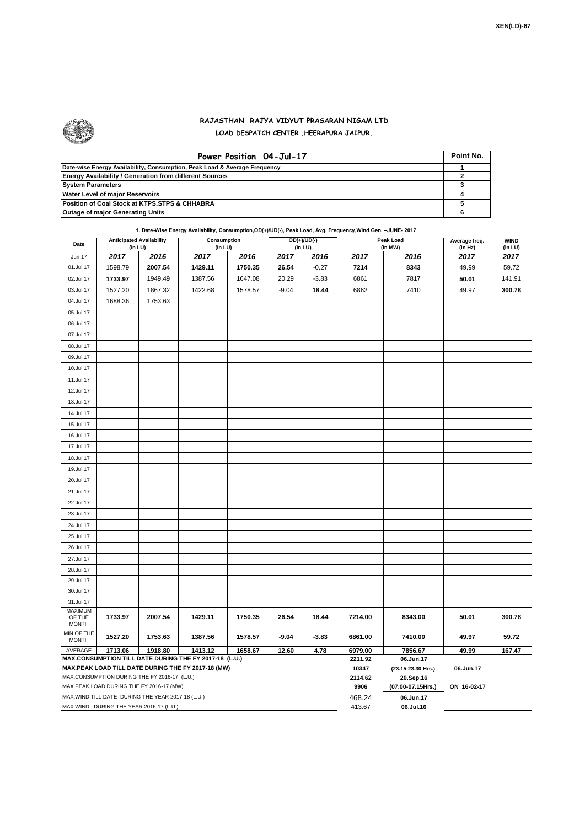

## **RAJASTHAN RAJYA VIDYUT PRASARAN NIGAM LTD LOAD DESPATCH CENTER ,HEERAPURA JAIPUR.**

| Power Position 04-Jul-17                                                  | Point No. |
|---------------------------------------------------------------------------|-----------|
| Date-wise Energy Availability, Consumption, Peak Load & Average Frequency |           |
| <b>Energy Availability / Generation from different Sources</b>            |           |
| <b>System Parameters</b>                                                  |           |
| <b>Water Level of major Reservoirs</b>                                    |           |
| Position of Coal Stock at KTPS, STPS & CHHABRA                            |           |
| <b>Outage of major Generating Units</b>                                   |           |

**1. Date-Wise Energy Availability, Consumption,OD(+)/UD(-), Peak Load, Avg. Frequency,Wind Gen. –JUNE- 2017**

| Date                                                                                                         |         | <b>Anticipated Availability</b><br>Consumption<br>OD(+)/UD(-)<br>(In LU)<br>(In LU)<br>(In LU) |         |         | <b>Peak Load</b><br>(In MW) | Average freq.<br>(ln Hz) | <b>WIND</b><br>(in LU)          |             |       |        |
|--------------------------------------------------------------------------------------------------------------|---------|------------------------------------------------------------------------------------------------|---------|---------|-----------------------------|--------------------------|---------------------------------|-------------|-------|--------|
| Jun.17                                                                                                       | 2017    | 2016                                                                                           | 2017    | 2016    | 2017                        | 2016                     | 2017                            | 2016        | 2017  | 2017   |
| 01.Jul.17                                                                                                    | 1598.79 | 2007.54                                                                                        | 1429.11 | 1750.35 | 26.54                       | $-0.27$                  | 7214                            | 8343        | 49.99 | 59.72  |
| 02.Jul.17                                                                                                    | 1733.97 | 1949.49                                                                                        | 1387.56 | 1647.08 | 20.29                       | $-3.83$                  | 6861                            | 7817        | 50.01 | 141.91 |
| 03.Jul.17                                                                                                    | 1527.20 | 1867.32                                                                                        | 1422.68 | 1578.57 | $-9.04$                     | 18.44                    | 6862                            | 7410        | 49.97 | 300.78 |
| 04.Jul.17                                                                                                    | 1688.36 | 1753.63                                                                                        |         |         |                             |                          |                                 |             |       |        |
| 05.Jul.17                                                                                                    |         |                                                                                                |         |         |                             |                          |                                 |             |       |        |
| 06.Jul.17                                                                                                    |         |                                                                                                |         |         |                             |                          |                                 |             |       |        |
| 07.Jul.17                                                                                                    |         |                                                                                                |         |         |                             |                          |                                 |             |       |        |
| 08.Jul.17                                                                                                    |         |                                                                                                |         |         |                             |                          |                                 |             |       |        |
| 09.Jul.17                                                                                                    |         |                                                                                                |         |         |                             |                          |                                 |             |       |        |
| 10.Jul.17                                                                                                    |         |                                                                                                |         |         |                             |                          |                                 |             |       |        |
| 11.Jul.17                                                                                                    |         |                                                                                                |         |         |                             |                          |                                 |             |       |        |
| 12.Jul.17                                                                                                    |         |                                                                                                |         |         |                             |                          |                                 |             |       |        |
| 13.Jul.17                                                                                                    |         |                                                                                                |         |         |                             |                          |                                 |             |       |        |
| 14.Jul.17                                                                                                    |         |                                                                                                |         |         |                             |                          |                                 |             |       |        |
| 15.Jul.17                                                                                                    |         |                                                                                                |         |         |                             |                          |                                 |             |       |        |
| 16.Jul.17                                                                                                    |         |                                                                                                |         |         |                             |                          |                                 |             |       |        |
| 17.Jul.17                                                                                                    |         |                                                                                                |         |         |                             |                          |                                 |             |       |        |
| 18.Jul.17                                                                                                    |         |                                                                                                |         |         |                             |                          |                                 |             |       |        |
| 19.Jul.17                                                                                                    |         |                                                                                                |         |         |                             |                          |                                 |             |       |        |
| 20.Jul.17                                                                                                    |         |                                                                                                |         |         |                             |                          |                                 |             |       |        |
| 21.Jul.17                                                                                                    |         |                                                                                                |         |         |                             |                          |                                 |             |       |        |
| 22.Jul.17                                                                                                    |         |                                                                                                |         |         |                             |                          |                                 |             |       |        |
| 23.Jul.17                                                                                                    |         |                                                                                                |         |         |                             |                          |                                 |             |       |        |
| 24.Jul.17                                                                                                    |         |                                                                                                |         |         |                             |                          |                                 |             |       |        |
| 25.Jul.17                                                                                                    |         |                                                                                                |         |         |                             |                          |                                 |             |       |        |
| 26.Jul.17                                                                                                    |         |                                                                                                |         |         |                             |                          |                                 |             |       |        |
| 27.Jul.17                                                                                                    |         |                                                                                                |         |         |                             |                          |                                 |             |       |        |
| 28.Jul.17                                                                                                    |         |                                                                                                |         |         |                             |                          |                                 |             |       |        |
| 29.Jul.17                                                                                                    |         |                                                                                                |         |         |                             |                          |                                 |             |       |        |
| 30.Jul.17                                                                                                    |         |                                                                                                |         |         |                             |                          |                                 |             |       |        |
| 31.Jul.17                                                                                                    |         |                                                                                                |         |         |                             |                          |                                 |             |       |        |
| MAXIMUM<br>OF THE                                                                                            | 1733.97 | 2007.54                                                                                        | 1429.11 | 1750.35 | 26.54                       | 18.44                    | 7214.00                         | 8343.00     | 50.01 | 300.78 |
| <b>MONTH</b>                                                                                                 |         |                                                                                                |         |         |                             |                          |                                 |             |       |        |
| MIN OF THE<br><b>MONTH</b>                                                                                   | 1527.20 | 1753.63                                                                                        | 1387.56 | 1578.57 | $-9.04$                     | $-3.83$                  | 6861.00                         | 7410.00     | 49.97 | 59.72  |
| AVERAGE                                                                                                      | 1713.06 | 1918.80                                                                                        | 1413.12 | 1658.67 | 12.60                       | 4.78                     | 6979.00                         | 7856.67     | 49.99 | 167.47 |
| MAX.CONSUMPTION TILL DATE DURING THE FY 2017-18 (L.U.)<br>MAX.PEAK LOAD TILL DATE DURING THE FY 2017-18 (MW) |         |                                                                                                |         |         |                             | 2211.92<br>10347         | 06.Jun.17<br>(23.15-23.30 Hrs.) | 06.Jun.17   |       |        |
| MAX.CONSUMPTION DURING THE FY 2016-17 (L.U.)                                                                 |         |                                                                                                |         |         |                             | 2114.62                  | 20.Sep.16                       |             |       |        |
| MAX.PEAK LOAD DURING THE FY 2016-17 (MW)                                                                     |         |                                                                                                |         |         |                             | 9906                     | (07.00-07.15Hrs.)               | ON 16-02-17 |       |        |
| MAX.WIND TILL DATE DURING THE YEAR 2017-18 (L.U.)                                                            |         |                                                                                                |         |         |                             | 468.24                   | 06.Jun.17                       |             |       |        |
| MAX.WIND DURING THE YEAR 2016-17 (L.U.)                                                                      |         |                                                                                                |         |         |                             |                          | 413.67                          | 06.Jul.16   |       |        |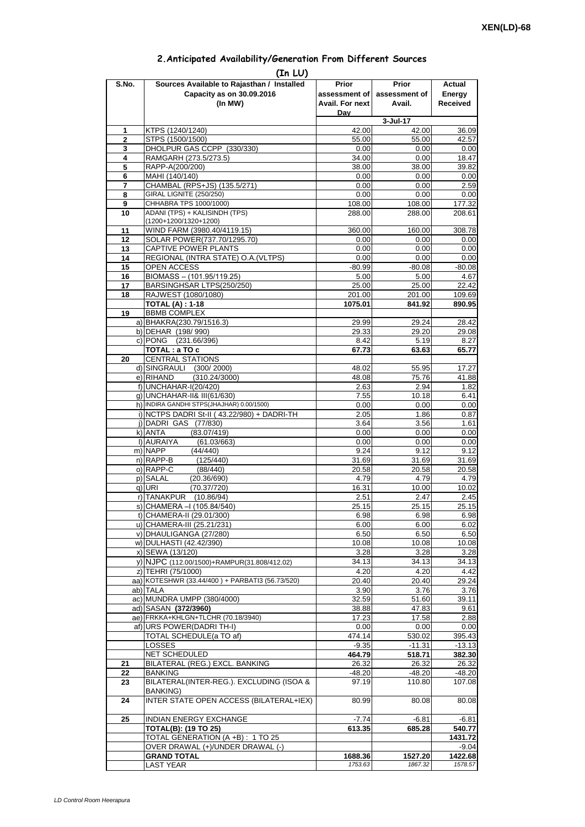| 2. Anticipated Availability/Generation From Different Sources |  |  |  |  |  |  |
|---------------------------------------------------------------|--|--|--|--|--|--|
|---------------------------------------------------------------|--|--|--|--|--|--|

| S.No.          | (In LU)<br>Sources Available to Rajasthan / Installed             | Prior                  | <b>Prior</b>       | Actual             |
|----------------|-------------------------------------------------------------------|------------------------|--------------------|--------------------|
|                | Capacity as on 30.09.2016                                         | assessment of          | assessment of      | Energy             |
|                | (In MW)                                                           | <b>Avail. For next</b> | Avail.             | <b>Received</b>    |
|                |                                                                   | Dav                    |                    |                    |
|                |                                                                   |                        | $3 -$ Jul $-17$    |                    |
| 1              | KTPS (1240/1240)                                                  | 42.00                  | 42.00              | 36.09              |
| $\overline{2}$ | STPS (1500/1500)                                                  | 55.00                  | 55.00              | 42.57              |
| 3              | DHOLPUR GAS CCPP (330/330)                                        | 0.00                   | 0.00               | 0.00               |
| 4<br>5         | RAMGARH (273.5/273.5)<br>RAPP-A(200/200)                          | 34.00<br>38.00         | 0.00<br>38.00      | 18.47<br>39.82     |
| 6              | MAHI (140/140)                                                    | 0.00                   | 0.00               | 0.00               |
| 7              | CHAMBAL (RPS+JS) (135.5/271)                                      | 0.00                   | 0.00               | 2.59               |
| 8              | <b>GIRAL LIGNITE (250/250)</b>                                    | 0.00                   | 0.00               | 0.00               |
| 9              | CHHABRA TPS 1000/1000)                                            | 108.00                 | 108.00             | 177.32             |
| 10             | ADANI (TPS) + KALISINDH (TPS)                                     | 288.00                 | 288.00             | 208.61             |
|                | (1200+1200/1320+1200)<br>WIND FARM (3980.40/4119.15)              |                        |                    |                    |
| 11<br>12       | SOLAR POWER(737.70/1295.70)                                       | 360.00<br>0.00         | 160.00<br>0.00     | 308.78<br>0.00     |
| 13             | CAPTIVE POWER PLANTS                                              | 0.00                   | 0.00               | 0.00               |
| 14             | REGIONAL (INTRA STATE) O.A. (VLTPS)                               | 0.00                   | 0.00               | 0.00               |
| 15             | OPEN ACCESS                                                       | $-80.99$               | $-80.08$           | $-80.08$           |
| 16             | BIOMASS - (101.95/119.25)                                         | 5.00                   | 5.00               | 4.67               |
| 17             | BARSINGHSAR LTPS(250/250)                                         | 25.00                  | 25.00              | 22.42              |
| 18             | RAJWEST (1080/1080)                                               | 201.00                 | 201.00             | 109.69             |
|                | <b>TOTAL (A): 1-18</b>                                            | 1075.01                | 841.92             | 890.95             |
| 19             | <b>BBMB COMPLEX</b><br>a) BHAKRA(230.79/1516.3)                   | 29.99                  | 29.24              | 28.42              |
|                | b) DEHAR (198/990)                                                | 29.33                  | 29.20              | 29.08              |
|                | c) PONG (231.66/396)                                              | 8.42                   | 5.19               | 8.27               |
|                | TOTAL : a TO c                                                    | 67.73                  | 63.63              | 65.77              |
| 20             | <b>CENTRAL STATIONS</b>                                           |                        |                    |                    |
|                | d) SINGRAULI<br>(300/2000)                                        | 48.02                  | 55.95              | 17.27              |
|                | e) RIHAND<br>(310.24/3000)                                        | 48.08                  | 75.76              | 41.88              |
|                | f) UNCHAHAR-I(20/420)<br>q) UNCHAHAR-II& III(61/630)              | 2.63<br>7.55           | 2.94<br>10.18      | 1.82<br>6.41       |
|                | h) INDIRA GANDHI STPS(JHAJHAR) 0.00/1500)                         | 0.00                   | 0.00               | 0.00               |
|                | i) NCTPS DADRI St-II (43.22/980) + DADRI-TH                       | 2.05                   | 1.86               | 0.87               |
|                | j) DADRI GAS (77/830)                                             | 3.64                   | 3.56               | 1.61               |
|                | k) ANTA<br>(83.07/419)                                            | 0.00                   | 0.00               | 0.00               |
|                | I) AURAIYA<br>(61.03/663)                                         | 0.00                   | 0.00               | 0.00               |
|                | m) NAPP<br>(44/440)                                               | 9.24                   | 9.12               | 9.12               |
|                | n) RAPP-B<br>(125/440)                                            | 31.69                  | 31.69              | 31.69              |
|                | o) RAPP-C<br>(88/440)<br>p) SALAL<br>(20.36/690)                  | 20.58<br>4.79          | 20.58<br>4.79      | 20.58<br>4.79      |
|                | (70.37/720)<br>q) URI                                             | 16.31                  | 10.00              | 10.02              |
|                | r) TANAKPUR<br>(10.86/94)                                         | 2.51                   | 2.47               | 2.45               |
|                | S) CHAMERA –I (105.84/540)                                        | 25.15                  | 25.15              | 25.15              |
|                | t) CHAMERA-II (29.01/300)                                         | 6.98                   | 6.98               | 6.98               |
|                | u) CHAMERA-III (25.21/231)                                        | 6.00                   | 6.00               | 6.02               |
|                | v) DHAULIGANGA (27/280)                                           | 6.50                   | 6.50               | 6.50               |
|                | w) DULHASTI (42.42/390)                                           | 10.08                  | 10.08              | 10.08              |
|                | x) SEWA (13/120)                                                  | 3.28<br>34.13          | 3.28<br>34.13      | 3.28<br>34.13      |
|                | y) NJPC (112.00/1500)+RAMPUR(31.808/412.02)<br>z) TEHRI (75/1000) | 4.20                   | 4.20               | 4.42               |
|                | aa) KOTESHWR (33.44/400) + PARBATI3 (56.73/520)                   | 20.40                  | 20.40              | 29.24              |
|                | ab) TALA                                                          | 3.90                   | 3.76               | 3.76               |
|                | ac) MUNDRA UMPP (380/4000)                                        | 32.59                  | 51.60              | 39.11              |
|                | ad) SASAN (372/3960)                                              | 38.88                  | 47.83              | 9.61               |
|                | ae) FRKKA+KHLGN+TLCHR (70.18/3940)                                | 17.23                  | 17.58              | 2.88               |
|                | af) URS POWER(DADRI TH-I)                                         | 0.00                   | 0.00               | 0.00               |
|                | TOTAL SCHEDULE(a TO af)                                           | 474.14                 | 530.02             | 395.43             |
|                | <b>LOSSES</b><br>NET SCHEDULED                                    | $-9.35$<br>464.79      | $-11.31$<br>518.71 | $-13.13$<br>382.30 |
| 21             | BILATERAL (REG.) EXCL. BANKING                                    | 26.32                  | 26.32              | 26.32              |
| 22             | <b>BANKING</b>                                                    | $-48.20$               | $-48.20$           | $-48.20$           |
| 23             | BILATERAL(INTER-REG.). EXCLUDING (ISOA &                          | 97.19                  | 110.80             | 107.08             |
| 24             | <b>BANKING)</b><br>INTER STATE OPEN ACCESS (BILATERAL+IEX)        | 80.99                  | 80.08              | 80.08              |
|                |                                                                   |                        |                    |                    |
| 25             | INDIAN ENERGY EXCHANGE                                            | $-7.74$                | $-6.81$            | $-6.81$            |
|                | <b>TOTAL(B): (19 TO 25)</b>                                       | 613.35                 | 685.28             | 540.77             |
|                | TOTAL GENERATION (A +B) : 1 TO 25                                 |                        |                    | 1431.72            |
|                | OVER DRAWAL (+)/UNDER DRAWAL (-)<br><b>GRAND TOTAL</b>            | 1688.36                | 1527.20            | $-9.04$<br>1422.68 |
|                | <b>LAST YEAR</b>                                                  | 1753.63                | 1867.32            | 1578.57            |
|                |                                                                   |                        |                    |                    |